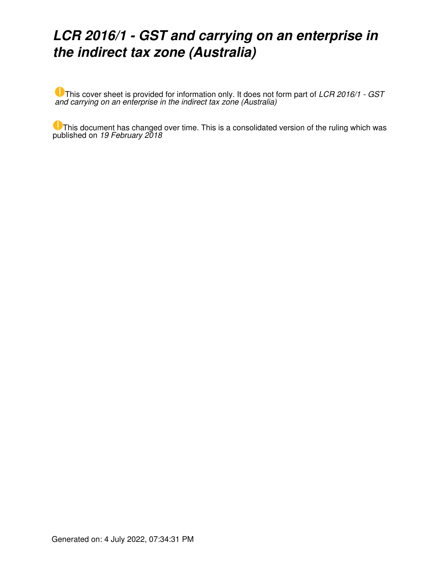# *LCR 2016/1 - GST and carrying on an enterprise in the indirect tax zone (Australia)*

This cover sheet is provided for information only. It does not form part of *LCR 2016/1 - GST and carrying on an enterprise in the indirect tax zone (Australia)*

This document has changed over time. This is a consolidated version of the ruling which was published on *19 February 2018*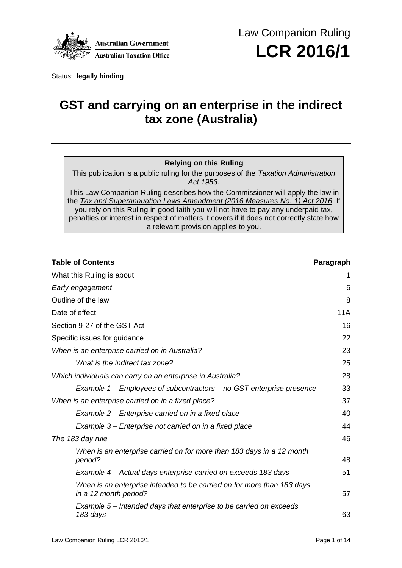

Status: **legally binding**

# **GST and carrying on an enterprise in the indirect tax zone (Australia)**

## **Relying on this Ruling**

This publication is a public ruling for the purposes of the *Taxation Administration Act 1953.*

This Law Companion Ruling describes how the Commissioner will apply the law in the *[Tax and Superannuation Laws Amendment \(2016 Measures No.](https://www.ato.gov.au/law/view/document?DocID=PAC/20160052/atotoc) 1) Act 2016*. If you rely on this Ruling in good faith you will not have to pay any underpaid tax, penalties or interest in respect of matters it covers if it does not correctly state how a relevant provision applies to you.

| <b>Table of Contents</b>                                                                        | Paragraph  |
|-------------------------------------------------------------------------------------------------|------------|
| What this Ruling is about                                                                       | 1          |
| Early engagement                                                                                | 6          |
| Outline of the law                                                                              | 8          |
| Date of effect                                                                                  | <b>11A</b> |
| Section 9-27 of the GST Act                                                                     | 16         |
| Specific issues for guidance                                                                    | 22         |
| When is an enterprise carried on in Australia?                                                  | 23         |
| What is the indirect tax zone?                                                                  | 25         |
| Which individuals can carry on an enterprise in Australia?                                      | 28         |
| Example 1 – Employees of subcontractors – no GST enterprise presence                            | 33         |
| When is an enterprise carried on in a fixed place?                                              | 37         |
| Example 2 – Enterprise carried on in a fixed place                                              | 40         |
| Example 3 – Enterprise not carried on in a fixed place                                          | 44         |
| The 183 day rule                                                                                | 46         |
| When is an enterprise carried on for more than 183 days in a 12 month<br>period?                | 48         |
| Example 4 – Actual days enterprise carried on exceeds 183 days                                  | 51         |
| When is an enterprise intended to be carried on for more than 183 days<br>in a 12 month period? | 57         |
| Example 5 – Intended days that enterprise to be carried on exceeds<br>183 days                  | 63         |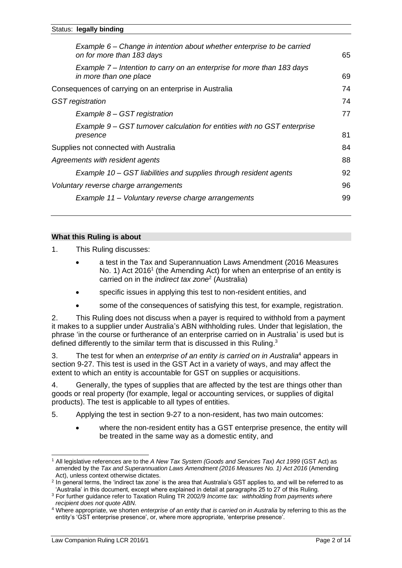| Example 6 – Change in intention about whether enterprise to be carried<br>on for more than 183 days | 65 |
|-----------------------------------------------------------------------------------------------------|----|
| Example 7 – Intention to carry on an enterprise for more than 183 days<br>in more than one place    | 69 |
| Consequences of carrying on an enterprise in Australia                                              | 74 |
| <b>GST</b> registration                                                                             | 74 |
| Example 8 – GST registration                                                                        | 77 |
| Example 9 – GST turnover calculation for entities with no GST enterprise<br>presence                | 81 |
| Supplies not connected with Australia                                                               | 84 |
| Agreements with resident agents                                                                     | 88 |
| Example 10 - GST liabilities and supplies through resident agents                                   | 92 |
| Voluntary reverse charge arrangements                                                               | 96 |
| Example 11 - Voluntary reverse charge arrangements                                                  | 99 |
|                                                                                                     |    |

#### **What this Ruling is about**

1. This Ruling discusses:

- a test in the Tax and Superannuation Laws Amendment (2016 Measures No. 1) Act 2016<sup>1</sup> (the Amending Act) for when an enterprise of an entity is carried on in the *indirect tax zone*<sup>2</sup> (Australia)
- specific issues in applying this test to non-resident entities, and
- some of the consequences of satisfying this test, for example, registration.

2. This Ruling does not discuss when a payer is required to withhold from a payment it makes to a supplier under Australia's ABN withholding rules. Under that legislation, the phrase 'in the course or furtherance of an enterprise carried on in Australia' is used but is defined differently to the similar term that is discussed in this Ruling.<sup>3</sup>

3. The test for when an *enterprise of an entity is carried on in Australia*<sup>4</sup> appears in section 9-27. This test is used in the GST Act in a variety of ways, and may affect the extent to which an entity is accountable for GST on supplies or acquisitions.

4. Generally, the types of supplies that are affected by the test are things other than goods or real property (for example, legal or accounting services, or supplies of digital products). The test is applicable to all types of entities.

5. Applying the test in section 9-27 to a non-resident, has two main outcomes:

• where the non-resident entity has a GST enterprise presence, the entity will be treated in the same way as a domestic entity, and

<sup>1</sup> All legislative references are to the *A New Tax System (Goods and Services Tax) Act 1999* (GST Act) as amended by the *Tax and Superannuation Laws Amendment (2016 Measures No. 1) Act 2016* (Amending Act), unless context otherwise dictates.

<sup>2</sup> In general terms, the 'indirect tax zone' is the area that Australia's GST applies to, and will be referred to as 'Australia' in this document, except where explained in detail at paragraphs 25 to 27 of this Ruling.

<sup>3</sup> For further guidance refer to Taxation Ruling TR 2002/9 *Income tax: withholding from payments where recipient does not quote ABN*.

<sup>4</sup> Where appropriate, we shorten *enterprise of an entity that is carried on in Australia* by referring to this as the entity's 'GST enterprise presence', or, where more appropriate, 'enterprise presence'.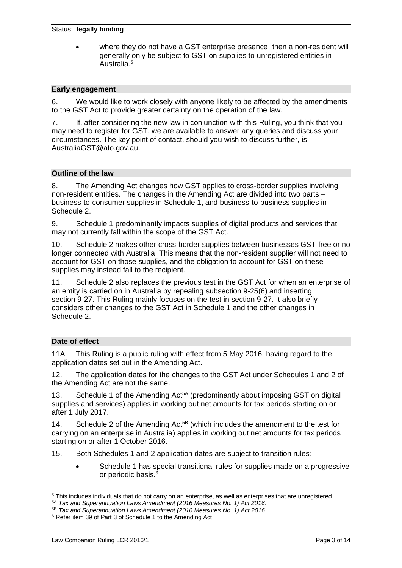• where they do not have a GST enterprise presence, then a non-resident will generally only be subject to GST on supplies to unregistered entities in Australia. 5

#### **Early engagement**

6. We would like to work closely with anyone likely to be affected by the amendments to the GST Act to provide greater certainty on the operation of the law.

7. If, after considering the new law in conjunction with this Ruling, you think that you may need to register for GST, we are available to answer any queries and discuss your circumstances. The key point of contact, should you wish to discuss further, is [AustraliaGST@ato.gov.au.](mailto:AustraliaGST@ato.gov.au)

#### **Outline of the law**

8. The Amending Act changes how GST applies to cross-border supplies involving non-resident entities. The changes in the Amending Act are divided into two parts – business-to-consumer supplies in Schedule 1, and business-to-business supplies in Schedule 2.

9. Schedule 1 predominantly impacts supplies of digital products and services that may not currently fall within the scope of the GST Act.

10. Schedule 2 makes other cross-border supplies between businesses GST-free or no longer connected with Australia. This means that the non-resident supplier will not need to account for GST on those supplies, and the obligation to account for GST on these supplies may instead fall to the recipient.

11. Schedule 2 also replaces the previous test in the GST Act for when an enterprise of an entity is carried on in Australia by repealing subsection 9-25(6) and inserting section 9-27. This Ruling mainly focuses on the test in section 9-27. It also briefly considers other changes to the GST Act in Schedule 1 and the other changes in Schedule 2.

#### **Date of effect**

11A This Ruling is a public ruling with effect from 5 May 2016, having regard to the application dates set out in the Amending Act.

12. The application dates for the changes to the GST Act under Schedules 1 and 2 of the Amending Act are not the same.

13. Schedule 1 of the Amending Act<sup>5A</sup> (predominantly about imposing GST on digital supplies and services) applies in working out net amounts for tax periods starting on or after 1 July 2017.

14. Schedule 2 of the Amending  $Act^{5B}$  (which includes the amendment to the test for carrying on an enterprise in Australia) applies in working out net amounts for tax periods starting on or after 1 October 2016.

15. Both Schedules 1 and 2 application dates are subject to transition rules:

• Schedule 1 has special transitional rules for supplies made on a progressive or periodic basis.<sup>6</sup>

<sup>5</sup> This includes individuals that do not carry on an enterprise, as well as enterprises that are unregistered.

<sup>5</sup>A *Tax and Superannuation Laws Amendment (2016 Measures No. 1) Act 2016*.

<sup>5</sup>B *Tax and Superannuation Laws Amendment (2016 Measures No. 1) Act 2016*.

<sup>6</sup> Refer item 39 of Part 3 of Schedule 1 to the Amending Act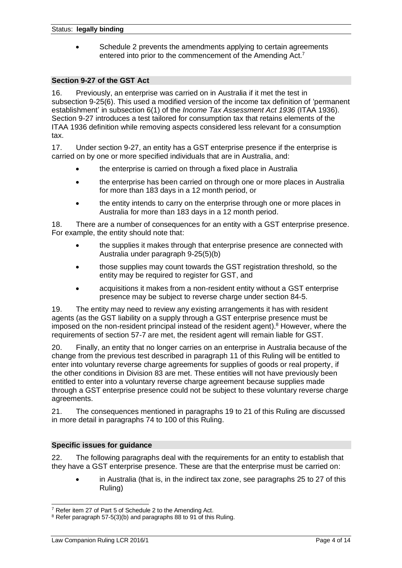• Schedule 2 prevents the amendments applying to certain agreements entered into prior to the commencement of the Amending Act.<sup>7</sup>

## **Section 9-27 of the GST Act**

16. Previously, an enterprise was carried on in Australia if it met the test in subsection 9-25(6). This used a modified version of the income tax definition of 'permanent establishment' in subsection 6(1) of the *Income Tax Assessment Act 1936* (ITAA 1936). Section 9-27 introduces a test tailored for consumption tax that retains elements of the ITAA 1936 definition while removing aspects considered less relevant for a consumption tax.

17. Under section 9-27, an entity has a GST enterprise presence if the enterprise is carried on by one or more specified individuals that are in Australia, and:

- the enterprise is carried on through a fixed place in Australia
- the enterprise has been carried on through one or more places in Australia for more than 183 days in a 12 month period, or
- the entity intends to carry on the enterprise through one or more places in Australia for more than 183 days in a 12 month period.

18. There are a number of consequences for an entity with a GST enterprise presence. For example, the entity should note that:

- the supplies it makes through that enterprise presence are connected with Australia under paragraph 9-25(5)(b)
- those supplies may count towards the GST registration threshold, so the entity may be required to register for GST, and
- acquisitions it makes from a non-resident entity without a GST enterprise presence may be subject to reverse charge under section 84-5.

19. The entity may need to review any existing arrangements it has with resident agents (as the GST liability on a supply through a GST enterprise presence must be imposed on the non-resident principal instead of the resident agent).<sup>8</sup> However, where the requirements of section 57-7 are met, the resident agent will remain liable for GST.

20. Finally, an entity that no longer carries on an enterprise in Australia because of the change from the previous test described in paragraph 11 of this Ruling will be entitled to enter into voluntary reverse charge agreements for supplies of goods or real property, if the other conditions in Division 83 are met. These entities will not have previously been entitled to enter into a voluntary reverse charge agreement because supplies made through a GST enterprise presence could not be subject to these voluntary reverse charge agreements.

21. The consequences mentioned in paragraphs 19 to 21 of this Ruling are discussed in more detail in paragraphs 74 to 100 of this Ruling.

## **Specific issues for guidance**

22. The following paragraphs deal with the requirements for an entity to establish that they have a GST enterprise presence. These are that the enterprise must be carried on:

• in Australia (that is, in the indirect tax zone, see paragraphs 25 to 27 of this Ruling)

<sup>7</sup> Refer item 27 of Part 5 of Schedule 2 to the Amending Act.

<sup>&</sup>lt;sup>8</sup> Refer paragraph 57-5(3)(b) and paragraphs 88 to 91 of this Ruling.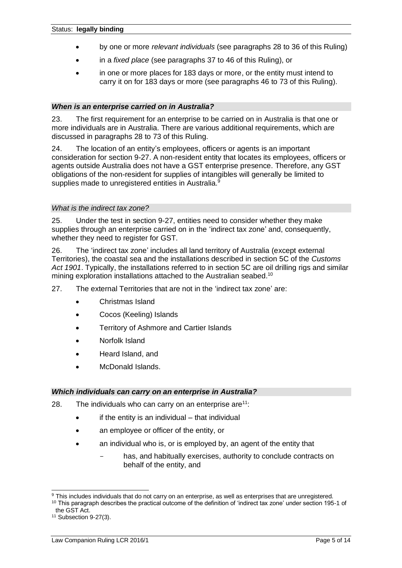- by one or more *relevant individuals* (see paragraphs 28 to 36 of this Ruling)
- in a *fixed place* (see paragraphs 37 to 46 of this Ruling), or
- in one or more places for 183 days or more, or the entity must intend to carry it on for 183 days or more (see paragraphs 46 to 73 of this Ruling).

## *When is an enterprise carried on in Australia?*

23. The first requirement for an enterprise to be carried on in Australia is that one or more individuals are in Australia. There are various additional requirements, which are discussed in paragraphs 28 to 73 of this Ruling.

24. The location of an entity's employees, officers or agents is an important consideration for section 9-27. A non-resident entity that locates its employees, officers or agents outside Australia does not have a GST enterprise presence. Therefore, any GST obligations of the non-resident for supplies of intangibles will generally be limited to supplies made to unregistered entities in Australia.<sup>9</sup>

### *What is the indirect tax zone?*

25. Under the test in section 9-27, entities need to consider whether they make supplies through an enterprise carried on in the 'indirect tax zone' and, consequently, whether they need to register for GST.

26. The 'indirect tax zone' includes all land territory of Australia (except external Territories), the coastal sea and the installations described in section 5C of the *Customs Act 1901*. Typically, the installations referred to in section 5C are oil drilling rigs and similar mining exploration installations attached to the Australian seabed.<sup>10</sup>

- 27. The external Territories that are not in the 'indirect tax zone' are:
	- Christmas Island
	- Cocos (Keeling) Islands
	- Territory of Ashmore and Cartier Islands
	- Norfolk Island
	- Heard Island, and
	- McDonald Islands.

### *Which individuals can carry on an enterprise in Australia?*

- 28. The individuals who can carry on an enterprise are  $11$ :
	- $i$ f the entity is an individual  $-$  that individual
	- an employee or officer of the entity, or
	- an individual who is, or is employed by, an agent of the entity that
		- has, and habitually exercises, authority to conclude contracts on behalf of the entity, and

<sup>&</sup>lt;sup>9</sup> This includes individuals that do not carry on an enterprise, as well as enterprises that are unregistered.

<sup>&</sup>lt;sup>10</sup> This paragraph describes the practical outcome of the definition of 'indirect tax zone' under section 195-1 of the GST Act.

<sup>11</sup> Subsection 9-27(3).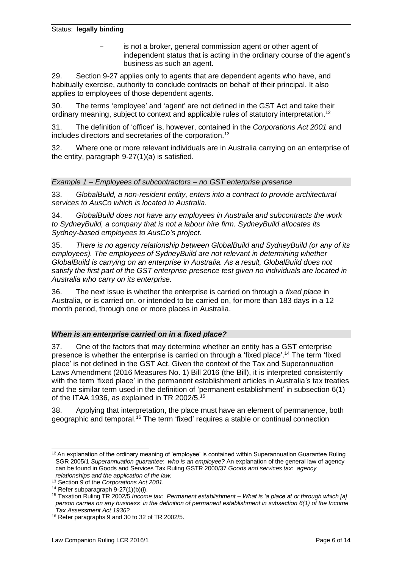is not a broker, general commission agent or other agent of independent status that is acting in the ordinary course of the agent's business as such an agent.

29. Section 9-27 applies only to agents that are dependent agents who have, and habitually exercise, authority to conclude contracts on behalf of their principal. It also applies to employees of those dependent agents.

30. The terms 'employee' and 'agent' are not defined in the GST Act and take their ordinary meaning, subject to context and applicable rules of statutory interpretation.<sup>12</sup>

31. The definition of 'officer' is, however, contained in the *Corporations Act 2001* and includes directors and secretaries of the corporation.<sup>13</sup>

32. Where one or more relevant individuals are in Australia carrying on an enterprise of the entity, paragraph 9-27(1)(a) is satisfied.

### *Example 1 – Employees of subcontractors – no GST enterprise presence*

33. *GlobalBuild, a non-resident entity, enters into a contract to provide architectural services to AusCo which is located in Australia.*

34. *GlobalBuild does not have any employees in Australia and subcontracts the work to SydneyBuild, a company that is not a labour hire firm. SydneyBuild allocates its Sydney-based employees to AusCo's project.*

35. *There is no agency relationship between GlobalBuild and SydneyBuild (or any of its employees). The employees of SydneyBuild are not relevant in determining whether GlobalBuild is carrying on an enterprise in Australia. As a result, GlobalBuild does not satisfy the first part of the GST enterprise presence test given no individuals are located in Australia who carry on its enterprise.*

36. The next issue is whether the enterprise is carried on through a *fixed place* in Australia, or is carried on, or intended to be carried on, for more than 183 days in a 12 month period, through one or more places in Australia.

### *When is an enterprise carried on in a fixed place?*

37. One of the factors that may determine whether an entity has a GST enterprise presence is whether the enterprise is carried on through a 'fixed place'.<sup>14</sup> The term 'fixed place' is not defined in the GST Act. Given the context of the Tax and Superannuation Laws Amendment (2016 Measures No. 1) Bill 2016 (the Bill), it is interpreted consistently with the term 'fixed place' in the permanent establishment articles in Australia's tax treaties and the similar term used in the definition of 'permanent establishment' in subsection 6(1) of the ITAA 1936, as explained in TR 2002/5.<sup>15</sup>

38. Applying that interpretation, the place must have an element of permanence, both geographic and temporal.<sup>16</sup> The term 'fixed' requires a stable or continual connection

 $12$  An explanation of the ordinary meaning of 'employee' is contained within Superannuation Guarantee Ruling SGR 2005/1 *Superannuation guarantee: who is an employee?* An explanation of the general law of agency can be found in Goods and Services Tax Ruling GSTR 2000/37 *Goods and services tax: agency relationships and the application of the law.*

<sup>13</sup> Section 9 of the *Corporations Act 2001.*

<sup>&</sup>lt;sup>14</sup> Refer subparagraph  $9-27(1)(b)(i)$ .

<sup>15</sup> Taxation Ruling TR 2002/5 *Income tax: Permanent establishment – What is 'a place at or through which [a] person carries on any business' in the definition of permanent establishment in subsection 6(1) of the Income Tax Assessment Act 1936?*

<sup>16</sup> Refer paragraphs 9 and 30 to 32 of TR 2002/5.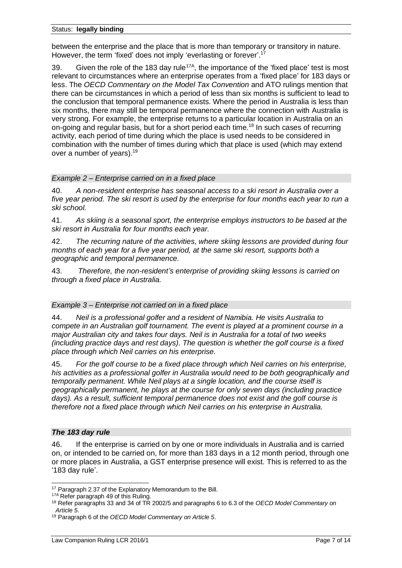between the enterprise and the place that is more than temporary or transitory in nature. However, the term 'fixed' does not imply 'everlasting or forever'.<sup>17</sup>

39. Given the role of the 183 day rule<sup>17A</sup>, the importance of the 'fixed place' test is most relevant to circumstances where an enterprise operates from a 'fixed place' for 183 days or less. The *OECD Commentary on the Model Tax Convention* and ATO rulings mention that there can be circumstances in which a period of less than six months is sufficient to lead to the conclusion that temporal permanence exists. Where the period in Australia is less than six months, there may still be temporal permanence where the connection with Australia is very strong. For example, the enterprise returns to a particular location in Australia on an on-going and regular basis, but for a short period each time.<sup>18</sup> In such cases of recurring activity, each period of time during which the place is used needs to be considered in combination with the number of times during which that place is used (which may extend over a number of years). 19

## *Example 2 – Enterprise carried on in a fixed place*

40. *A non-resident enterprise has seasonal access to a ski resort in Australia over a five year period. The ski resort is used by the enterprise for four months each year to run a ski school.*

41. *As skiing is a seasonal sport, the enterprise employs instructors to be based at the ski resort in Australia for four months each year.*

42. *The recurring nature of the activities, where skiing lessons are provided during four months of each year for a five year period, at the same ski resort, supports both a geographic and temporal permanence.*

43. *Therefore, the non-resident's enterprise of providing skiing lessons is carried on through a fixed place in Australia.*

### *Example 3 – Enterprise not carried on in a fixed place*

44. *Neil is a professional golfer and a resident of Namibia. He visits Australia to compete in an Australian golf tournament. The event is played at a prominent course in a major Australian city and takes four days. Neil is in Australia for a total of two weeks (including practice days and rest days). The question is whether the golf course is a fixed place through which Neil carries on his enterprise.*

45. *For the golf course to be a fixed place through which Neil carries on his enterprise, his activities as a professional golfer in Australia would need to be both geographically and temporally permanent. While Neil plays at a single location, and the course itself is geographically permanent, he plays at the course for only seven days (including practice days). As a result, sufficient temporal permanence does not exist and the golf course is therefore not a fixed place through which Neil carries on his enterprise in Australia.*

### *The 183 day rule*

46. If the enterprise is carried on by one or more individuals in Australia and is carried on, or intended to be carried on, for more than 183 days in a 12 month period, through one or more places in Australia, a GST enterprise presence will exist. This is referred to as the '183 day rule'.

<sup>&</sup>lt;sup>17</sup> Paragraph 2.37 of the Explanatory Memorandum to the Bill.

<sup>17</sup>A Refer paragraph 49 of this Ruling.

<sup>18</sup> Refer paragraphs 33 and 34 of TR 2002/5 and paragraphs 6 to 6.3 of the *OECD Model Commentary on Article 5*.

<sup>19</sup> Paragraph 6 of the *OECD Model Commentary on Article 5*.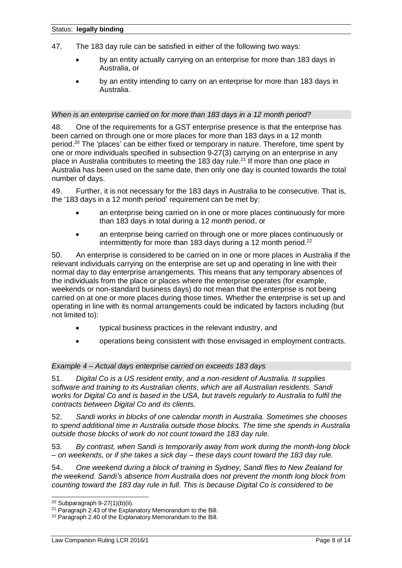- 47. The 183 day rule can be satisfied in either of the following two ways:
	- by an entity actually carrying on an enterprise for more than 183 days in Australia, or
	- by an entity intending to carry on an enterprise for more than 183 days in Australia.

### *When is an enterprise carried on for more than 183 days in a 12 month period?*

48. One of the requirements for a GST enterprise presence is that the enterprise has been carried on through one or more places for more than 183 days in a 12 month period.<sup>20</sup> The 'places' can be either fixed or temporary in nature. Therefore, time spent by one or more individuals specified in subsection 9-27(3) carrying on an enterprise in any place in Australia contributes to meeting the 183 day rule.<sup>21</sup> If more than one place in Australia has been used on the same date, then only one day is counted towards the total number of days.

49. Further, it is not necessary for the 183 days in Australia to be consecutive. That is, the '183 days in a 12 month period' requirement can be met by:

- an enterprise being carried on in one or more places continuously for more than 183 days in total during a 12 month period, or
- an enterprise being carried on through one or more places continuously or intermittently for more than 183 days during a 12 month period.<sup>22</sup>

50. An enterprise is considered to be carried on in one or more places in Australia if the relevant individuals carrying on the enterprise are set up and operating in line with their normal day to day enterprise arrangements. This means that any temporary absences of the individuals from the place or places where the enterprise operates (for example, weekends or non-standard business days) do not mean that the enterprise is not being carried on at one or more places during those times. Whether the enterprise is set up and operating in line with its normal arrangements could be indicated by factors including (but not limited to):

- typical business practices in the relevant industry, and
- operations being consistent with those envisaged in employment contracts.

### *Example 4 – Actual days enterprise carried on exceeds 183 days*

51. *Digital Co is a US resident entity, and a non-resident of Australia. It supplies software and training to its Australian clients, which are all Australian residents. Sandi works for Digital Co and is based in the USA, but travels regularly to Australia to fulfil the contracts between Digital Co and its clients.*

52. *Sandi works in blocks of one calendar month in Australia. Sometimes she chooses to spend additional time in Australia outside those blocks. The time she spends in Australia outside those blocks of work do not count toward the 183 day rule.*

53. *By contrast, when Sandi is temporarily away from work during the month-long block – on weekends, or if she takes a sick day – these days count toward the 183 day rule.*

54. *One weekend during a block of training in Sydney, Sandi flies to New Zealand for the weekend. Sandi's absence from Australia does not prevent the month long block from counting toward the 183 day rule in full. This is because Digital Co is considered to be* 

 $20$  Subparagraph 9-27(1)(b)(ii).

<sup>21</sup> Paragraph 2.43 of the Explanatory Memorandum to the Bill.

<sup>&</sup>lt;sup>22</sup> Paragraph 2.40 of the Explanatory Memorandum to the Bill.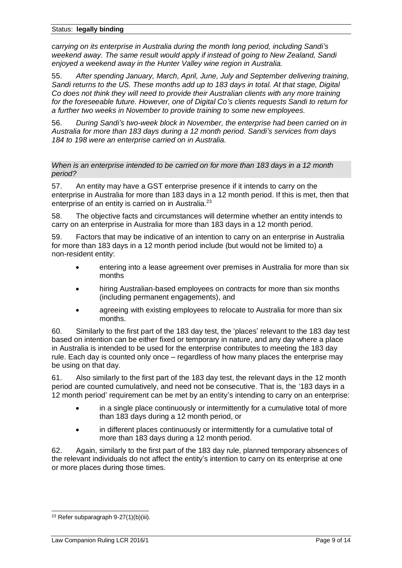*carrying on its enterprise in Australia during the month long period, including Sandi's weekend away. The same result would apply if instead of going to New Zealand, Sandi enjoyed a weekend away in the Hunter Valley wine region in Australia.*

55. *After spending January, March, April, June, July and September delivering training, Sandi returns to the US. These months add up to 183 days in total. At that stage, Digital Co does not think they will need to provide their Australian clients with any more training for the foreseeable future. However, one of Digital Co's clients requests Sandi to return for a further two weeks in November to provide training to some new employees.*

56. *During Sandi's two-week block in November, the enterprise had been carried on in Australia for more than 183 days during a 12 month period. Sandi's services from days 184 to 198 were an enterprise carried on in Australia.*

*When is an enterprise intended to be carried on for more than 183 days in a 12 month period?*

57. An entity may have a GST enterprise presence if it intends to carry on the enterprise in Australia for more than 183 days in a 12 month period. If this is met, then that enterprise of an entity is carried on in Australia.<sup>23</sup>

58. The objective facts and circumstances will determine whether an entity intends to carry on an enterprise in Australia for more than 183 days in a 12 month period.

59. Factors that may be indicative of an intention to carry on an enterprise in Australia for more than 183 days in a 12 month period include (but would not be limited to) a non-resident entity:

- entering into a lease agreement over premises in Australia for more than six months
- hiring Australian-based employees on contracts for more than six months (including permanent engagements), and
- agreeing with existing employees to relocate to Australia for more than six months.

60. Similarly to the first part of the 183 day test, the 'places' relevant to the 183 day test based on intention can be either fixed or temporary in nature, and any day where a place in Australia is intended to be used for the enterprise contributes to meeting the 183 day rule. Each day is counted only once – regardless of how many places the enterprise may be using on that day.

61. Also similarly to the first part of the 183 day test, the relevant days in the 12 month period are counted cumulatively, and need not be consecutive. That is, the '183 days in a 12 month period' requirement can be met by an entity's intending to carry on an enterprise:

- in a single place continuously or intermittently for a cumulative total of more than 183 days during a 12 month period, or
- in different places continuously or intermittently for a cumulative total of more than 183 days during a 12 month period.

62. Again, similarly to the first part of the 183 day rule, planned temporary absences of the relevant individuals do not affect the entity's intention to carry on its enterprise at one or more places during those times.

 $23$  Refer subparagraph 9-27(1)(b)(iii).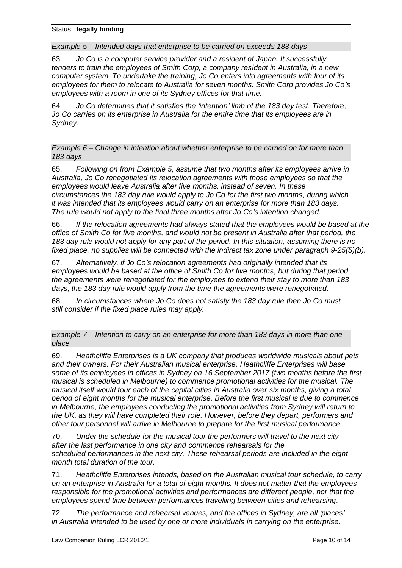*Example 5 – Intended days that enterprise to be carried on exceeds 183 days*

63. *Jo Co is a computer service provider and a resident of Japan. It successfully tenders to train the employees of Smith Corp, a company resident in Australia, in a new computer system. To undertake the training, Jo Co enters into agreements with four of its employees for them to relocate to Australia for seven months. Smith Corp provides Jo Co's employees with a room in one of its Sydney offices for that time.*

64. *Jo Co determines that it satisfies the 'intention' limb of the 183 day test. Therefore, Jo Co carries on its enterprise in Australia for the entire time that its employees are in Sydney.*

*Example 6 – Change in intention about whether enterprise to be carried on for more than 183 days*

65. *Following on from Example 5, assume that two months after its employees arrive in Australia, Jo Co renegotiated its relocation agreements with those employees so that the employees would leave Australia after five months, instead of seven. In these circumstances the 183 day rule would apply to Jo Co for the first two months, during which it was intended that its employees would carry on an enterprise for more than 183 days. The rule would not apply to the final three months after Jo Co's intention changed.*

66. *If the relocation agreements had always stated that the employees would be based at the office of Smith Co for five months, and would not be present in Australia after that period, the 183 day rule would not apply for any part of the period. In this situation, assuming there is no fixed place, no supplies will be connected with the indirect tax zone under paragraph 9-25(5)(b).*

67. *Alternatively, if Jo Co's relocation agreements had originally intended that its employees would be based at the office of Smith Co for five months, but during that period the agreements were renegotiated for the employees to extend their stay to more than 183 days, the 183 day rule would apply from the time the agreements were renegotiated.*

68. *In circumstances where Jo Co does not satisfy the 183 day rule then Jo Co must still consider if the fixed place rules may apply.*

*Example 7 – Intention to carry on an enterprise for more than 183 days in more than one place*

69. *Heathcliffe Enterprises is a UK company that produces worldwide musicals about pets and their owners. For their Australian musical enterprise, Heathcliffe Enterprises will base some of its employees in offices in Sydney on 16 September 2017 (two months before the first musical is scheduled in Melbourne) to commence promotional activities for the musical. The musical itself would tour each of the capital cities in Australia over six months, giving a total period of eight months for the musical enterprise. Before the first musical is due to commence in Melbourne, the employees conducting the promotional activities from Sydney will return to the UK, as they will have completed their role. However, before they depart, performers and other tour personnel will arrive in Melbourne to prepare for the first musical performance.*

70. *Under the schedule for the musical tour the performers will travel to the next city after the last performance in one city and commence rehearsals for the scheduled performances in the next city. These rehearsal periods are included in the eight month total duration of the tour.*

71. *Heathcliffe Enterprises intends, based on the Australian musical tour schedule, to carry on an enterprise in Australia for a total of eight months. It does not matter that the employees responsible for the promotional activities and performances are different people, nor that the employees spend time between performances travelling between cities and rehearsing.*

72. *The performance and rehearsal venues, and the offices in Sydney, are all 'places' in Australia intended to be used by one or more individuals in carrying on the enterprise.*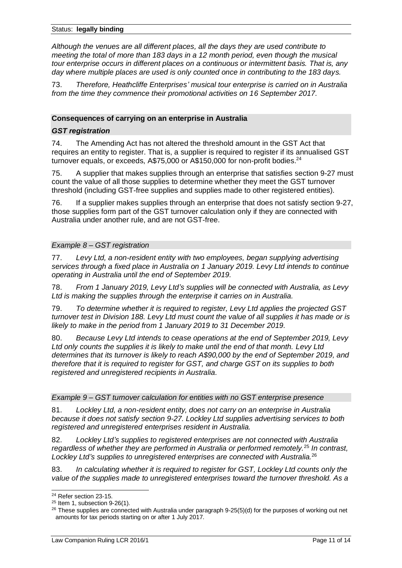*Although the venues are all different places, all the days they are used contribute to meeting the total of more than 183 days in a 12 month period, even though the musical tour enterprise occurs in different places on a continuous or intermittent basis. That is, any day where multiple places are used is only counted once in contributing to the 183 days.*

73. *Therefore, Heathcliffe Enterprises' musical tour enterprise is carried on in Australia from the time they commence their promotional activities on 16 September 2017.*

## **Consequences of carrying on an enterprise in Australia**

## *GST registration*

74. The Amending Act has not altered the threshold amount in the GST Act that requires an entity to register. That is, a supplier is required to register if its annualised GST turnover equals, or exceeds, A\$75,000 or A\$150,000 for non-profit bodies.<sup>24</sup>

75. A supplier that makes supplies through an enterprise that satisfies section 9-27 must count the value of all those supplies to determine whether they meet the GST turnover threshold (including GST-free supplies and supplies made to other registered entities).

76. If a supplier makes supplies through an enterprise that does not satisfy section 9-27, those supplies form part of the GST turnover calculation only if they are connected with Australia under another rule, and are not GST-free.

### *Example 8 – GST registration*

77. *Levy Ltd, a non-resident entity with two employees, began supplying advertising services through a fixed place in Australia on 1 January 2019. Levy Ltd intends to continue operating in Australia until the end of September 2019.*

78. *From 1 January 2019, Levy Ltd's supplies will be connected with Australia, as Levy Ltd is making the supplies through the enterprise it carries on in Australia.*

79. *To determine whether it is required to register, Levy Ltd applies the projected GST turnover test in Division 188. Levy Ltd must count the value of all supplies it has made or is likely to make in the period from 1 January 2019 to 31 December 2019.*

80. *Because Levy Ltd intends to cease operations at the end of September 2019, Levy Ltd only counts the supplies it is likely to make until the end of that month. Levy Ltd determines that its turnover is likely to reach A\$90,000 by the end of September 2019, and therefore that it is required to register for GST, and charge GST on its supplies to both registered and unregistered recipients in Australia.*

### *Example 9 – GST turnover calculation for entities with no GST enterprise presence*

81. *Lockley Ltd, a non-resident entity, does not carry on an enterprise in Australia because it does not satisfy section 9-27. Lockley Ltd supplies advertising services to both registered and unregistered enterprises resident in Australia.*

82. *Lockley Ltd's supplies to registered enterprises are not connected with Australia regardless of whether they are performed in Australia or performed remotely.*<sup>25</sup> *In contrast, Lockley Ltd's supplies to unregistered enterprises are connected with Australia.*<sup>26</sup>

83. *In calculating whether it is required to register for GST, Lockley Ltd counts only the value of the supplies made to unregistered enterprises toward the turnover threshold. As a* 

<sup>24</sup> Refer section 23-15.

 $25$  Item 1, subsection 9-26(1).

<sup>&</sup>lt;sup>26</sup> These supplies are connected with Australia under paragraph 9-25(5)(d) for the purposes of working out net amounts for tax periods starting on or after 1 July 2017.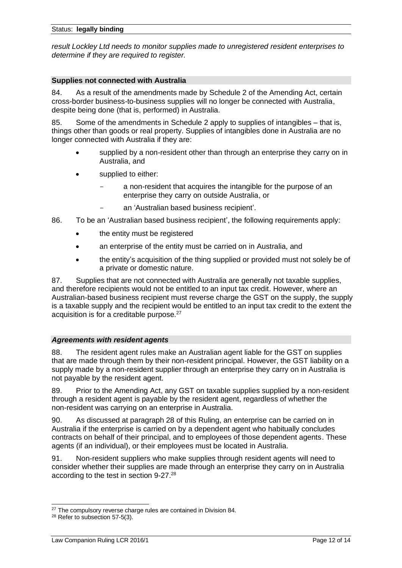*result Lockley Ltd needs to monitor supplies made to unregistered resident enterprises to determine if they are required to register.*

#### **Supplies not connected with Australia**

84. As a result of the amendments made by Schedule 2 of the Amending Act, certain cross-border business-to-business supplies will no longer be connected with Australia, despite being done (that is, performed) in Australia.

85. Some of the amendments in Schedule 2 apply to supplies of intangibles – that is, things other than goods or real property. Supplies of intangibles done in Australia are no longer connected with Australia if they are:

- supplied by a non-resident other than through an enterprise they carry on in Australia, and
- supplied to either:
	- a non-resident that acquires the intangible for the purpose of an enterprise they carry on outside Australia, or
	- an 'Australian based business recipient'.
- 86. To be an 'Australian based business recipient', the following requirements apply:
	- the entity must be registered
	- an enterprise of the entity must be carried on in Australia, and
	- the entity's acquisition of the thing supplied or provided must not solely be of a private or domestic nature.

87. Supplies that are not connected with Australia are generally not taxable supplies, and therefore recipients would not be entitled to an input tax credit. However, where an Australian-based business recipient must reverse charge the GST on the supply, the supply is a taxable supply and the recipient would be entitled to an input tax credit to the extent the acquisition is for a creditable purpose.<sup>27</sup>

### *Agreements with resident agents*

88. The resident agent rules make an Australian agent liable for the GST on supplies that are made through them by their non-resident principal. However, the GST liability on a supply made by a non-resident supplier through an enterprise they carry on in Australia is not payable by the resident agent.

89. Prior to the Amending Act, any GST on taxable supplies supplied by a non-resident through a resident agent is payable by the resident agent, regardless of whether the non-resident was carrying on an enterprise in Australia.

90. As discussed at paragraph 28 of this Ruling, an enterprise can be carried on in Australia if the enterprise is carried on by a dependent agent who habitually concludes contracts on behalf of their principal, and to employees of those dependent agents. These agents (if an individual), or their employees must be located in Australia.

91. Non-resident suppliers who make supplies through resident agents will need to consider whether their supplies are made through an enterprise they carry on in Australia according to the test in section 9-27.<sup>28</sup>

<sup>&</sup>lt;sup>27</sup> The compulsory reverse charge rules are contained in Division 84.

<sup>28</sup> Refer to subsection 57-5(3).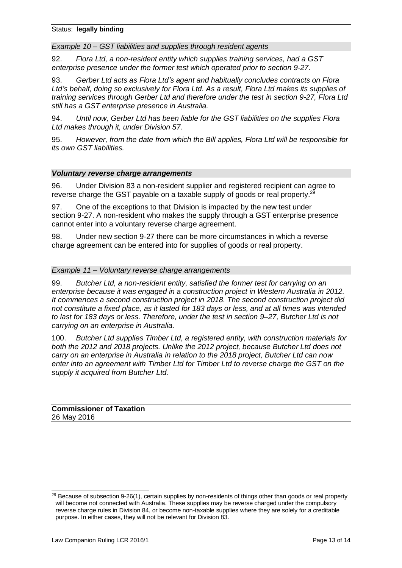*Example 10 – GST liabilities and supplies through resident agents*

92. *Flora Ltd, a non-resident entity which supplies training services, had a GST enterprise presence under the former test which operated prior to section 9-27.*

93. *Gerber Ltd acts as Flora Ltd's agent and habitually concludes contracts on Flora Ltd's behalf, doing so exclusively for Flora Ltd. As a result, Flora Ltd makes its supplies of training services through Gerber Ltd and therefore under the test in section 9-27, Flora Ltd still has a GST enterprise presence in Australia.*

94. *Until now, Gerber Ltd has been liable for the GST liabilities on the supplies Flora Ltd makes through it, under Division 57.*

95. *However, from the date from which the Bill applies, Flora Ltd will be responsible for its own GST liabilities.*

#### *Voluntary reverse charge arrangements*

96. Under Division 83 a non-resident supplier and registered recipient can agree to reverse charge the GST payable on a taxable supply of goods or real property.<sup>29</sup>

97. One of the exceptions to that Division is impacted by the new test under section 9-27. A non-resident who makes the supply through a GST enterprise presence cannot enter into a voluntary reverse charge agreement.

98. Under new section 9-27 there can be more circumstances in which a reverse charge agreement can be entered into for supplies of goods or real property.

#### *Example 11 – Voluntary reverse charge arrangements*

99. *Butcher Ltd, a non-resident entity, satisfied the former test for carrying on an enterprise because it was engaged in a construction project in Western Australia in 2012. It commences a second construction project in 2018. The second construction project did not constitute a fixed place, as it lasted for 183 days or less, and at all times was intended to last for 183 days or less. Therefore, under the test in section 9–27, Butcher Ltd is not carrying on an enterprise in Australia.*

100. *Butcher Ltd supplies Timber Ltd, a registered entity, with construction materials for both the 2012 and 2018 projects. Unlike the 2012 project, because Butcher Ltd does not carry on an enterprise in Australia in relation to the 2018 project, Butcher Ltd can now enter into an agreement with Timber Ltd for Timber Ltd to reverse charge the GST on the supply it acquired from Butcher Ltd.*

#### **Commissioner of Taxation** 26 May 2016

<sup>&</sup>lt;sup>29</sup> Because of subsection 9-26(1), certain supplies by non-residents of things other than goods or real property will become not connected with Australia. These supplies may be reverse charged under the compulsory reverse charge rules in Division 84, or become non-taxable supplies where they are solely for a creditable purpose. In either cases, they will not be relevant for Division 83.